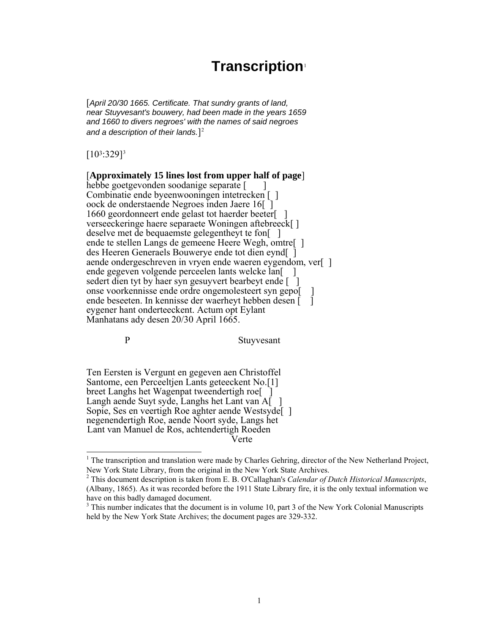# **Transcription**[1](#page-0-0)

[*April 20/30 1665. Certificate. That sundry grants of land, near Stuyvesant's bouwery, had been made in the years 1659 and 1660 to divers negroes' with the names of said negroes and a description of their lands.*][2](#page-0-1)

 $[10^3:329]^3$  $[10^3:329]^3$  $[10^3:329]^3$ 

#### [**Approximately 15 lines lost from upper half of page**] hebbe goetgevonden soodanige separate [

Combinatie ende byeenwooningen intetrecken [ ] oock de onderstaende Negroes inden Jaere 16[ ] 1660 geordonneert ende gelast tot haerder beeter[ ] verseeckeringe haere separaete Woningen aftebreeck[ ] deselve met de bequaemste gelegentheyt te fon[ ] ende te stellen Langs de gemeene Heere Wegh, omtre[ ] des Heeren Generaels Bouwerye ende tot dien eynd[ ] aende ondergeschreven in vryen ende waeren eygendom, ver[ ] ende gegeven volgende perceelen lants welcke lan<br/>[ ] sedert dien tyt by haer syn gesuyvert bearbeyt ende [ ] onse voorkennisse ende ordre ongemolesteert syn gepo[ ] ende beseeten. In kennisse der waerheyt hebben desen [ ] eygener hant onderteeckent. Actum opt Eylant Manhatans ady desen 20/30 April 1665.

<span id="page-0-0"></span> $\overline{a}$ 

P Stuyvesant

Ten Eersten is Vergunt en gegeven aen Christoffel Santome, een Perceeltjen Lants geteeckent No.[1] breet Langhs het Wagenpat tweendertigh roe Langh aende Suyt syde, Langhs het Lant van A[ Sopie, Ses en veertigh Roe aghter aende Westsyde<sup>[1]</sup> negenendertigh Roe, aende Noort syde, Langs het Lant van Manuel de Ros, achtendertigh Roeden Verte

<span id="page-0-1"></span><sup>&</sup>lt;sup>1</sup> The transcription and translation were made by Charles Gehring, director of the New Netherland Project, New York State Library, from the original in the New York State Archives. 2

<span id="page-0-2"></span>This document description is taken from E. B. O'Callaghan's *Calendar of Dutch Historical Manuscripts*, (Albany, 1865). As it was recorded before the 1911 State Library fire, it is the only textual information we have on this badly damaged document.

 $3$  This number indicates that the document is in volume 10, part 3 of the New York Colonial Manuscripts held by the New York State Archives; the document pages are 329-332.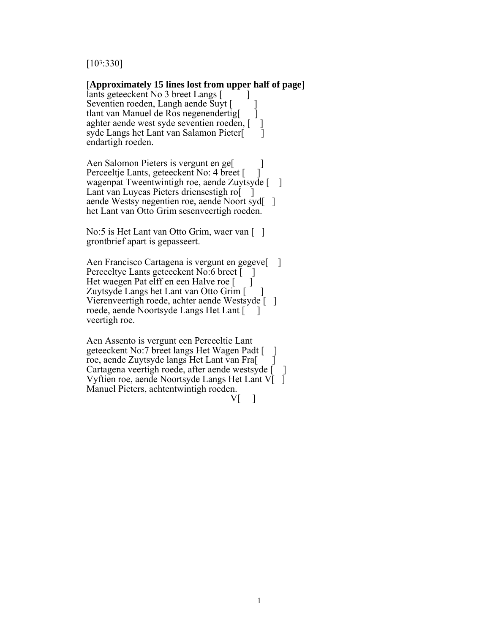[103:330]

#### [**Approximately 15 lines lost from upper half of page**]

lants geteeckent No 3 breet Langs [ Seventien roeden, Langh aende Suyt [ ] tlant van Manuel de Ros negenendertig[ ] aghter aende west syde seventien roeden, [] syde Langs het Lant van Salamon Pieter[ ] endartigh roeden.

Aen Salomon Pieters is vergunt en ge[ ] Perceeltje Lants, geteeckent No: 4 breet [ wagenpat Tweentwintigh roe, aende Zuytsyde [ ] Lant van Luycas Pieters driensestigh ro aende Westsy negentien roe, aende Noort syd[ ] het Lant van Otto Grim sesenveertigh roeden.

No:5 is Het Lant van Otto Grim, waer van [] grontbrief apart is gepasseert.

Aen Francisco Cartagena is vergunt en gegeve<sup>[1]</sup> Perceeltye Lants geteeckent No:6 breet [ ]<br>Het waegen Pat elff en een Halve roe [ ] Het waegen Pat elff en een Halve roe [ ] Zuytsyde Langs het Lant van Otto Grim [ ] Vierenveertigh roede, achter aende Westsyde [ ] roede, aende Noortsyde Langs Het Lant [ ] veertigh roe.

Aen Assento is vergunt een Perceeltie Lant geteeckent No:7 breet langs Het Wagen Padt [ ] roe, aende Zuytsyde langs Het Lant van Fra[ ] Cartagena veertigh roede, after aende westsyde [ ] Vyftien roe, aende Noortsyde Langs Het Lant V $\overline{I}$ Manuel Pieters, achtentwintigh roeden.  $V[\quad]$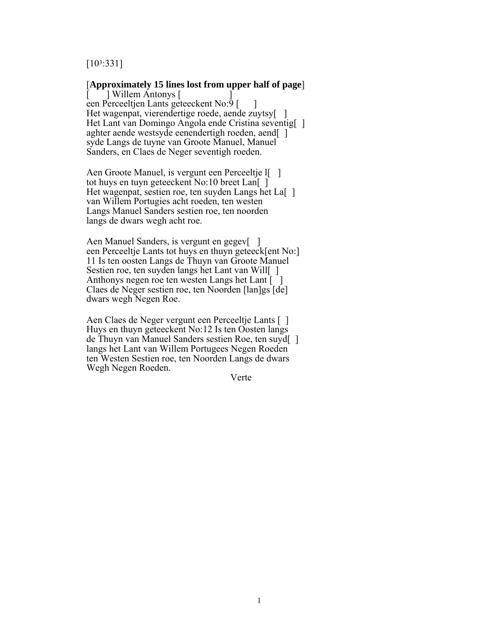### [103:331]

#### [**Approximately 15 lines lost from upper half of page**]

[ ] Willem Antonys [ ] een Perceeltjen Lants geteeckent No:9 [ ] Het wagenpat, vierendertige roede, aende zuytsy[] Het Lant van Domingo Angola ende Cristina seventig[] aghter aende westsyde eenendertigh roeden, aend[ ] syde Langs de tuyne van Groote Manuel, Manuel Sanders, en Claes de Neger seventigh roeden.

Aen Groote Manuel, is vergunt een Perceeltje I tot huys en tuyn geteeckent No:10 breet Lan[ ] Het wagenpat, sestien roe, ten suyden Langs het La[ ] van Willem Portugies acht roeden, ten westen Langs Manuel Sanders sestien roe, ten noorden langs de dwars wegh acht roe.

Aen Manuel Sanders, is vergunt en gegev[] een Perceeltje Lants tot huys en thuyn geteeck[ent No:] 11 Is ten oosten Langs de Thuyn van Groote Manuel Sestien roe, ten suyden langs het Lant van Will[] Anthonys negen roe ten westen Langs het Lant  $\lceil \cdot \rceil$ Claes de Neger sestien roe, ten Noorden [lan]gs [de] dwars wegh Negen Roe.

Aen Claes de Neger vergunt een Perceeltje Lants [ ] Huys en thuyn geteeckent No:12 Is ten Oosten langs de Thuyn van Manuel Sanders sestien Roe, ten suyd[ ] langs het Lant van Willem Portugees Negen Roeden ten Westen Sestien roe, ten Noorden Langs de dwars Wegh Negen Roeden.

Verte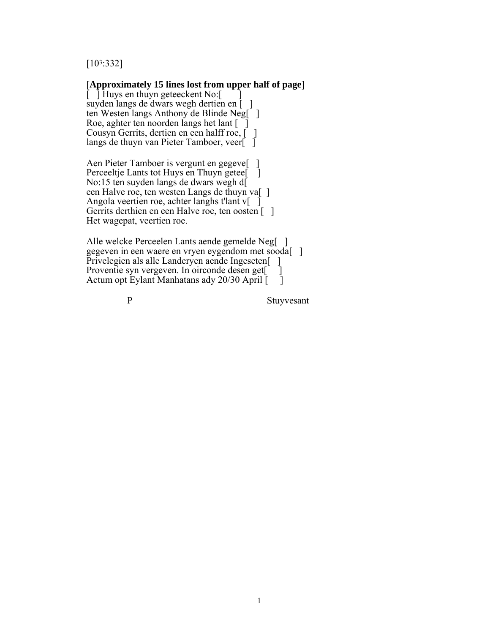[103:332]

#### [**Approximately 15 lines lost from upper half of page**]

 $\bar{[}$  ] Huys en thuyn geteeckent No: suyden langs de dwars wegh dertien en [ ] ten Westen langs Anthony de Blinde Neg[<sup>1</sup>] Roe, aghter ten noorden langs het lant [ [ ] Cousyn Gerrits, dertien en een halff roe,  $\begin{bmatrix} 1 \end{bmatrix}$ langs de thuyn van Pieter Tamboer, veer[ ]

Aen Pieter Tamboer is vergunt en gegeve[ ] Perceeltje Lants tot Huys en Thuyn getee<sup>[1]</sup> No:15 ten suyden langs de dwars wegh d[ een Halve roe, ten westen Langs de thuyn va[ ] Angola veertien roe, achter langhs t'lant v[ ] Gerrits derthien en een Halve roe, ten oosten [ ] Het wagepat, veertien roe.

Alle welcke Perceelen Lants aende gemelde Neg[ ] gegeven in een waere en vryen eygendom met sooda[ ] Privelegien als alle Landeryen aende Ingeseten<sup>[1]</sup> Proventie syn vergeven. In oirconde desen get Actum opt Eylant Manhatans ady 20/30 April  $\begin{bmatrix} 1 \end{bmatrix}$ 

P Stuyvesant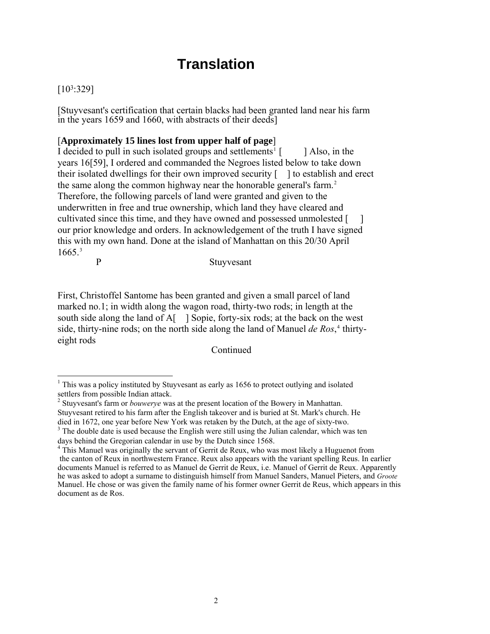# **Translation**

# [103:329]

[Stuyvesant's certification that certain blacks had been granted land near his farm in the years 1659 and 1660, with abstracts of their deeds]

### [**Approximately 15 lines lost from upper half of page**]

I decided to pull in such isolated groups and settlements<sup>[1](#page-4-0)</sup>  $\lceil$  [ ] Also, in the years 16[59], I ordered and commanded the Negroes listed below to take down their isolated dwellings for their own improved security [ ] to establish and erect the same along the common highway near the honorable general's farm.<sup>[2](#page-4-1)</sup> Therefore, the following parcels of land were granted and given to the underwritten in free and true ownership, which land they have cleared and cultivated since this time, and they have owned and possessed unmolested [ ] our prior knowledge and orders. In acknowledgement of the truth I have signed this with my own hand. Done at the island of Manhattan on this 20/30 April  $1665<sup>3</sup>$  $1665<sup>3</sup>$  $1665<sup>3</sup>$ P Stuyvesant

First, Christoffel Santome has been granted and given a small parcel of land marked no.1; in width along the wagon road, thirty-two rods; in length at the south side along the land of A[ ] Sopie, forty-six rods; at the back on the west side, thirty-nine rods; on the north side along the land of Manuel *de Ros*,<sup>[4](#page-4-3)</sup> thirtyeight rods

Continued

<sup>&</sup>lt;sup>1</sup> This was a policy instituted by Stuyvesant as early as 1656 to protect outlying and isolated

<span id="page-4-1"></span><span id="page-4-0"></span>settlers from possible Indian attack. 2 Stuyvesant's farm or *bouwerye* was at the present location of the Bowery in Manhattan. Stuyvesant retired to his farm after the English takeover and is buried at St. Mark's church. He died in 1672, one year before New York was retaken by the Dutch, at the age of sixty-two.

<span id="page-4-2"></span><sup>&</sup>lt;sup>3</sup> The double date is used because the English were still using the Julian calendar, which was ten days behind the Gregorian calendar in use by the Dutch since 1568.

<span id="page-4-3"></span><sup>&</sup>lt;sup>4</sup> This Manuel was originally the servant of Gerrit de Reux, who was most likely a Huguenot from the canton of Reux in northwestern France. Reux also appears with the variant spelling Reus. In earlier documents Manuel is referred to as Manuel de Gerrit de Reux, i.e. Manuel of Gerrit de Reux. Apparently he was asked to adopt a surname to distinguish himself from Manuel Sanders, Manuel Pieters, and *Groote* Manuel. He chose or was given the family name of his former owner Gerrit de Reus, which appears in this document as de Ros.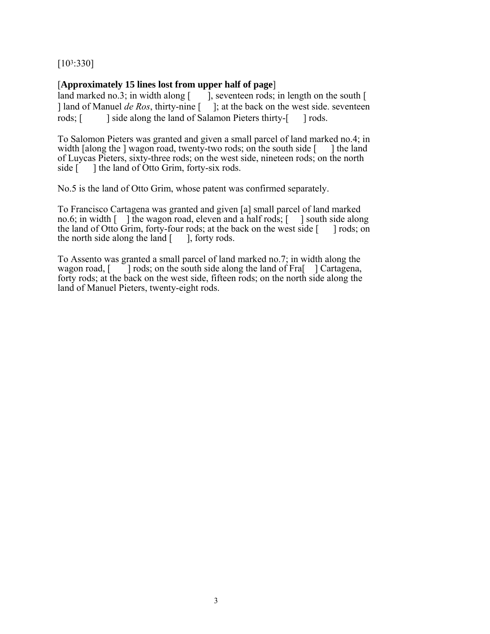[103:330]

# [**Approximately 15 lines lost from upper half of page**]

land marked no.3; in width along  $\lceil \cdot \cdot \rceil$ , seventeen rods; in length on the south  $\lceil \cdot \rceil$ ] land of Manuel *de Ros*, thirty-nine [ ]; at the back on the west side. seventeen rods; [ ] side along the land of Salamon Pieters thirty-[ ] rods.

To Salomon Pieters was granted and given a small parcel of land marked no.4; in width [along the ] wagon road, twenty-two rods; on the south side  $\lceil \quad \rceil$  the land of Luycas Pieters, sixty-three rods; on the west side, nineteen rods; on the north side  $\begin{bmatrix} \cdot \\ \cdot \end{bmatrix}$  the land of Otto Grim, forty-six rods.

No.5 is the land of Otto Grim, whose patent was confirmed separately.

To Francisco Cartagena was granted and given [a] small parcel of land marked no.6; in width [ ] the wagon road, eleven and a half rods; [ ] south side along the land of Otto Grim, forty-four rods; at the back on the west side [ ] rods; on the north side along the land  $\lceil \cdot \cdot \rceil$ , forty rods.

To Assento was granted a small parcel of land marked no.7; in width along the wagon road,  $\lceil \ \ \rceil$  rods; on the south side along the land of Fra $\lceil \ \ \rceil$  Cartagena,  $\lceil \cdot \rceil$  rods; on the south side along the land of Fra $\lceil \cdot \rceil$  Cartagena, forty rods; at the back on the west side, fifteen rods; on the north side along the land of Manuel Pieters, twenty-eight rods.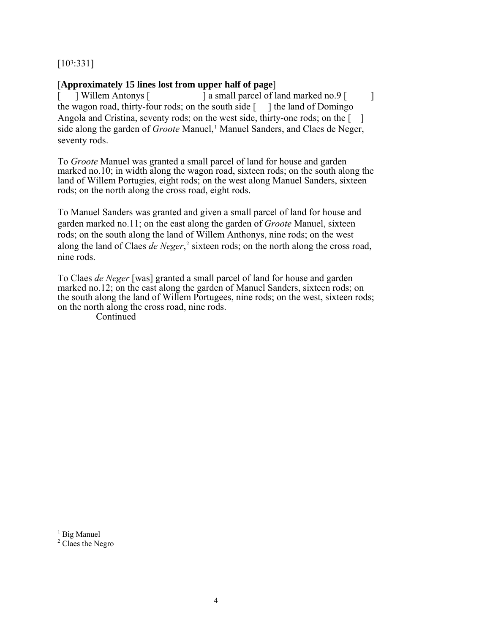# [103:331]

## [**Approximately 15 lines lost from upper half of page**]

[ ] Willem Antonys [ ] a small parcel of land marked no.9 [ ] ] the wagon road, thirty-four rods; on the south side  $\lceil \quad \rceil$  the land of Domingo Angola and Cristina, seventy rods; on the west side, thirty-one rods; on the [ ] side along the garden of *Groote* Manuel,<sup>[1](#page-6-0)</sup> Manuel Sanders, and Claes de Neger, seventy rods.

To *Groote* Manuel was granted a small parcel of land for house and garden marked no.10; in width along the wagon road, sixteen rods; on the south along the land of Willem Portugies, eight rods; on the west along Manuel Sanders, sixteen rods; on the north along the cross road, eight rods.

To Manuel Sanders was granted and given a small parcel of land for house and garden marked no.11; on the east along the garden of *Groote* Manuel, sixteen rods; on the south along the land of Willem Anthonys, nine rods; on the west along the land of Claes *de Neger*,<sup>[2](#page-6-1)</sup> sixteen rods; on the north along the cross road, nine rods.

To Claes *de Neger* [was] granted a small parcel of land for house and garden marked no.12; on the east along the garden of Manuel Sanders, sixteen rods; on the south along the land of Willem Portugees, nine rods; on the west, sixteen rods; on the north along the cross road, nine rods.

**Continued** 

 $\overline{a}$ 

<span id="page-6-0"></span><sup>&</sup>lt;sup>1</sup> Big Manuel

<span id="page-6-1"></span><sup>&</sup>lt;sup>2</sup> Claes the Negro